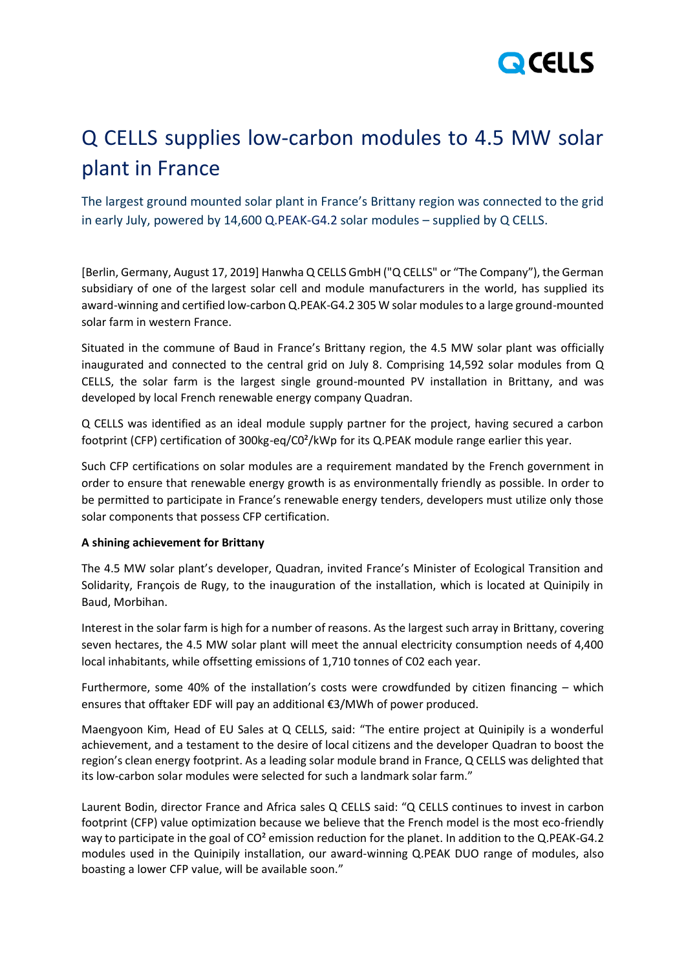

## Q CELLS supplies low-carbon modules to 4.5 MW solar plant in France

The largest ground mounted solar plant in France's Brittany region was connected to the grid in early July, powered by 14,600 Q.PEAK-G4.2 solar modules – supplied by Q CELLS.

[Berlin, Germany, August 17, 2019] Hanwha Q CELLS GmbH ("Q CELLS" or "The Company"), the German subsidiary of one of the largest solar cell and module manufacturers in the world, has supplied its award-winning and certified low-carbon Q.PEAK-G4.2 305 W solar modules to a large ground-mounted solar farm in western France.

Situated in the commune of Baud in France's Brittany region, the 4.5 MW solar plant was officially inaugurated and connected to the central grid on July 8. Comprising 14,592 solar modules from Q CELLS, the solar farm is the largest single ground-mounted PV installation in Brittany, and was developed by local French renewable energy company Quadran.

Q CELLS was identified as an ideal module supply partner for the project, having secured a carbon footprint (CFP) certification of 300kg-eq/C0²/kWp for its Q.PEAK module range earlier this year.

Such CFP certifications on solar modules are a requirement mandated by the French government in order to ensure that renewable energy growth is as environmentally friendly as possible. In order to be permitted to participate in France's renewable energy tenders, developers must utilize only those solar components that possess CFP certification.

## **A shining achievement for Brittany**

The 4.5 MW solar plant's developer, Quadran, invited France's Minister of Ecological Transition and Solidarity, François de Rugy, to the inauguration of the installation, which is located at Quinipily in Baud, Morbihan.

Interest in the solar farm is high for a number of reasons. As the largest such array in Brittany, covering seven hectares, the 4.5 MW solar plant will meet the annual electricity consumption needs of 4,400 local inhabitants, while offsetting emissions of 1,710 tonnes of C02 each year.

Furthermore, some 40% of the installation's costs were crowdfunded by citizen financing – which ensures that offtaker EDF will pay an additional €3/MWh of power produced.

Maengyoon Kim, Head of EU Sales at Q CELLS, said: "The entire project at Quinipily is a wonderful achievement, and a testament to the desire of local citizens and the developer Quadran to boost the region's clean energy footprint. As a leading solar module brand in France, Q CELLS was delighted that its low-carbon solar modules were selected for such a landmark solar farm."

Laurent Bodin, director France and Africa sales Q CELLS said: "Q CELLS continues to invest in carbon footprint (CFP) value optimization because we believe that the French model is the most eco-friendly way to participate in the goal of CO<sup>2</sup> emission reduction for the planet. In addition to the Q.PEAK-G4.2 modules used in the Quinipily installation, our award-winning Q.PEAK DUO range of modules, also boasting a lower CFP value, will be available soon."